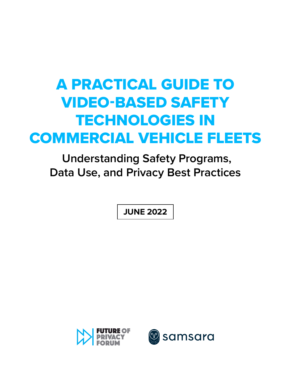# A PRACTICAL GUIDE TO VIDEO-BASED SAFETY TECHNOLOGIES IN COMMERCIAL VEHICLE FLEETS

 **Understanding Safety Programs, Data Use, and Privacy Best Practices**

**JUNE 2022**



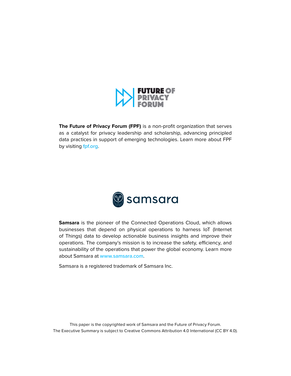

**The Future of Privacy Forum (FPF)** is a non-profit organization that serves as a catalyst for privacy leadership and scholarship, advancing principled data practices in support of emerging technologies. Learn more about FPF by visiting [fpf.org](https://fpf.org).



**Samsara** is the pioneer of the Connected Operations Cloud, which allows businesses that depend on physical operations to harness IoT (Internet of Things) data to develop actionable business insights and improve their operations. The company's mission is to increase the safety, efficiency, and sustainability of the operations that power the global economy. Learn more about Samsara at [www.samsara.com](https://www.samsara.com/).

Samsara is a registered trademark of Samsara Inc.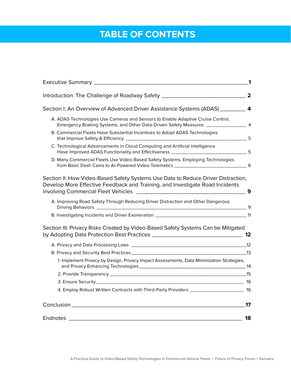## **TABLE OF CONTENTS**

|                                                                                                                                                                           | 1  |
|---------------------------------------------------------------------------------------------------------------------------------------------------------------------------|----|
|                                                                                                                                                                           |    |
| Section I: An Overview of Advanced Driver Assistance Systems (ADAS) __________ 4                                                                                          |    |
| A. ADAS Technologies Use Cameras and Sensors to Enable Adaptive Cruise Control,<br>Emergency Braking Systems, and Other Data-Driven Safety Measures ___________________ 4 |    |
| B. Commercial Fleets Have Substantial Incentives to Adopt ADAS Technologies                                                                                               |    |
| C. Technological Advancements in Cloud Computing and Artificial Intelligence                                                                                              |    |
| D. Many Commercial Fleets Use Video-Based Safety Systems, Employing Technologies                                                                                          |    |
| Section II: How Video-Based Safety Systems Use Data to Reduce Driver Distraction,<br>Develop More Effective Feedback and Training, and Investigate Road Incidents         | 9  |
| A. Improving Road Safety Through Reducing Driver Distraction and Other Dangerous                                                                                          |    |
|                                                                                                                                                                           |    |
| Section III: Privacy Risks Created by Video-Based Safety Systems Can be Mitigated                                                                                         |    |
|                                                                                                                                                                           |    |
|                                                                                                                                                                           |    |
| 1. Implement Privacy by Design, Privacy Impact Assessments, Data Minimization Strategies,                                                                                 |    |
|                                                                                                                                                                           |    |
|                                                                                                                                                                           |    |
| 4. Employ Robust Written Contracts with Third-Party Providers ________________________ 16                                                                                 |    |
|                                                                                                                                                                           | 17 |
| Endnotes                                                                                                                                                                  | 18 |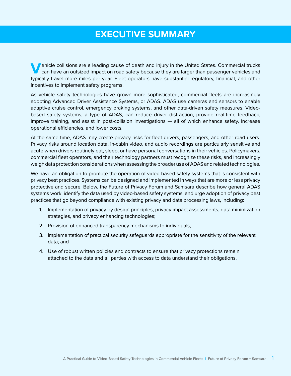## **EXECUTIVE SUMMARY**

**Vehicle collisions are a leading cause of death and injury in the United States. Commercial trucks**<br>can have an outsized impact on road safety because they are larger than passenger vehicles and typically travel more miles per year. Fleet operators have substantial regulatory, financial, and other incentives to implement safety programs.

As vehicle safety technologies have grown more sophisticated, commercial fleets are increasingly adopting Advanced Driver Assistance Systems, or ADAS. ADAS use cameras and sensors to enable adaptive cruise control, emergency braking systems, and other data-driven safety measures. Videobased safety systems, a type of ADAS, can reduce driver distraction, provide real-time feedback, improve training, and assist in post-collision investigations — all of which enhance safety, increase operational efficiencies, and lower costs.

At the same time, ADAS may create privacy risks for fleet drivers, passengers, and other road users. Privacy risks around location data, in-cabin video, and audio recordings are particularly sensitive and acute when drivers routinely eat, sleep, or have personal conversations in their vehicles. Policymakers, commercial fleet operators, and their technology partners must recognize these risks, and increasingly weigh data protection considerations when assessing the broader use of ADAS and related technologies.

We have an obligation to promote the operation of video-based safety systems that is consistent with privacy best practices. Systems can be designed and implemented in ways that are more or less privacy protective and secure. Below, the Future of Privacy Forum and Samsara describe how general ADAS systems work, identify the data used by video-based safety systems, and urge adoption of privacy best practices that go beyond compliance with existing privacy and data processing laws, including:

- 1. Implementation of privacy by design principles, privacy impact assessments, data minimization strategies, and privacy enhancing technologies;
- 2. Provision of enhanced transparency mechanisms to individuals;
- 3. Implementation of practical security safeguards appropriate for the sensitivity of the relevant data; and
- 4. Use of robust written policies and contracts to ensure that privacy protections remain attached to the data and all parties with access to data understand their obligations.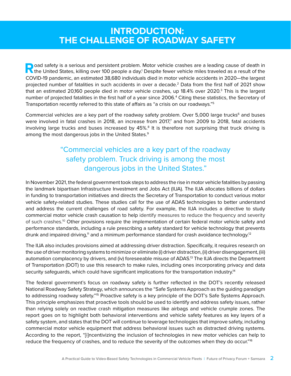### **INTRODUCTION: THE CHALLENGE OF ROADWAY SAFETY**

**Road safety is a serious and persistent problem. Motor vehicle crashes are a leading cause of death in** the United States, killing over 100 people a day.<sup>1</sup> Despite fewer vehicle miles traveled as a result of the COVID-19 pandemic, an estimated 38,680 individuals died in motor vehicle accidents in 2020—the largest projected number of fatalities in such accidents in over a decade.2 Data from the first half of 2021 show that an estimated 20,160 people died in motor vehicle crashes, up 18.4% over 2020.3 This is the largest number of projected fatalities in the first half of a year since 2006.4 Citing these statistics, the Secretary of Transportation recently referred to this state of affairs as "a crisis on our roadways."5

Commercial vehicles are a key part of the roadway safety problem. Over 5,000 large trucks<sup>6</sup> and buses were involved in fatal crashes in 2018, an increase from 2017,<sup>7</sup> and from 2009 to 2018, fatal accidents involving large trucks and buses increased by  $45\%$ <sup>8</sup> It is therefore not surprising that truck driving is among the most dangerous jobs in the United States.<sup>9</sup>

### "Commercial vehicles are a key part of the roadway safety problem. Truck driving is among the most dangerous jobs in the United States."

In November 2021, the federal government took steps to address the rise in motor vehicle fatalities by passing the landmark bipartisan Infrastructure Investment and Jobs Act (IIJA). The IIJA allocates billions of dollars in funding to transportation initiatives and directs the Secretary of Transportation to conduct various motor vehicle safety-related studies. These studies call for the use of ADAS technologies to better understand and address the current challenges of road safety. For example, the IIJA includes a directive to study commercial motor vehicle crash causation to help identify measures to reduce the frequency and severity of such crashes.10 Other provisions require the implementation of certain federal motor vehicle safety and performance standards, including a rule prescribing a safety standard for vehicle technology that prevents drunk and impaired driving,<sup>11</sup> and a minimum performance standard for crash avoidance technology.<sup>12</sup>

The IIJA also includes provisions aimed at addressing driver distraction. Specifically, it requires research on the use of driver monitoring systems to minimize or eliminate (i) driver distraction, (ii) driver disengagement, (iii) automation complacency by drivers, and (iv) foreseeable misuse of ADAS.<sup>13</sup> The IIJA directs the Department of Transportation (DOT) to use this research to make rules, including ones incorporating privacy and data security safeguards, which could have significant implications for the transportation industry.<sup>14</sup>

The federal government's focus on roadway safety is further reflected in the DOT's recently released National Roadway Safety Strategy, which announces the "Safe Systems Approach as the guiding paradigm to addressing roadway safety."15 Proactive safety is a key principle of the DOT's Safe Systems Approach. This principle emphasizes that proactive tools should be used to identify and address safety issues, rather than relying solely on reactive crash mitigation measures like airbags and vehicle crumple zones. The report goes on to highlight both behavioral interventions and vehicle safety features as key layers of a safety system, and states that the DOT will continue to leverage technologies that improve safety, including commercial motor vehicle equipment that address behavioral issues such as distracted driving systems. According to the report, "[i]ncentivizing the inclusion of technologies in new motor vehicles can help to reduce the frequency of crashes, and to reduce the severity of the outcomes when they do occur."<sup>16</sup>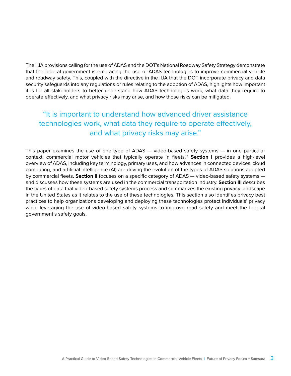The IIJA provisions calling for the use of ADAS and the DOT's National Roadway Safety Strategy demonstrate that the federal government is embracing the use of ADAS technologies to improve commercial vehicle and roadway safety. This, coupled with the directive in the IIJA that the DOT incorporate privacy and data security safeguards into any regulations or rules relating to the adoption of ADAS, highlights how important it is for all stakeholders to better understand how ADAS technologies work, what data they require to operate effectively, and what privacy risks may arise, and how those risks can be mitigated.

### "It is important to understand how advanced driver assistance technologies work, what data they require to operate effectively, and what privacy risks may arise."

This paper examines the use of one type of ADAS — video-based safety systems — in one particular context: commercial motor vehicles that typically operate in fleets.17 **Section I** provides a high-level overview of ADAS, including key terminology, primary uses, and how advances in connected devices, cloud computing, and artificial intelligence (AI) are driving the evolution of the types of ADAS solutions adopted by commercial fleets. **Section II** focuses on a specific category of ADAS — video-based safety systems and discusses how these systems are used in the commercial transportation industry. **Section III** describes the types of data that video-based safety systems process and summarizes the existing privacy landscape in the United States as it relates to the use of these technologies. This section also identifies privacy best practices to help organizations developing and deploying these technologies protect individuals' privacy while leveraging the use of video-based safety systems to improve road safety and meet the federal government's safety goals.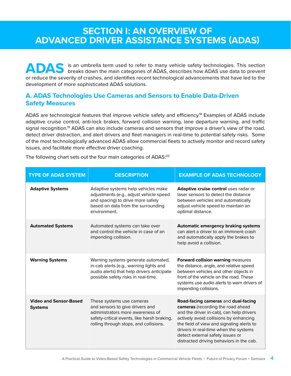### **SECTION I: AN OVERVIEW OF ADVANCED DRIVER ASSISTANCE SYSTEMS (ADAS)**

**ADAS** is an umbrella term used to refer to many vehicle safety technologies. This section breaks down the main categories of ADAS, describes how ADAS use data to prevent or reduce the severity of crashes, and identifies recent technological advancements that have led to the development of more sophisticated ADAS solutions.

#### **A. ADAS Technologies Use Cameras and Sensors to Enable Data-Driven Safety Measures**

ADAS are technological features that improve vehicle safety and efficiency.18 Examples of ADAS include adaptive cruise control, anti-lock brakes, forward collision warning, lane departure warning, and traffic signal recognition.<sup>19</sup> ADAS can also include cameras and sensors that improve a driver's view of the road, detect driver distraction, and alert drivers and fleet managers in real-time to potential safety risks. Some of the most technologically advanced ADAS allow commercial fleets to actively monitor and record safety issues, and facilitate more effective driver coaching.

| <b>TYPE OF ADAS SYSTEM</b>                      | <b>DESCRIPTION</b>                                                                                                                                                                        | <b>EXAMPLE OF ADAS TECHNOLOGY</b>                                                                                                                                                                                                                                                                                                    |
|-------------------------------------------------|-------------------------------------------------------------------------------------------------------------------------------------------------------------------------------------------|--------------------------------------------------------------------------------------------------------------------------------------------------------------------------------------------------------------------------------------------------------------------------------------------------------------------------------------|
| <b>Adaptive Systems</b>                         | Adaptive systems help vehicles make<br>adjustments (e.g., adjust vehicle speed<br>and spacing) to drive more safely<br>based on data from the surrounding<br>environment.                 | Adaptive cruise control uses radar or<br>laser sensors to detect the distance<br>between vehicles and automatically<br>adjust vehicle speed to maintain an<br>optimal distance.                                                                                                                                                      |
| <b>Automated Systems</b>                        | Automated systems can take over<br>and control the vehicle in case of an<br>impending collision.                                                                                          | <b>Automatic emergency braking systems</b><br>can alert a driver to an imminent crash<br>and automatically apply the brakes to<br>help avoid a collision.                                                                                                                                                                            |
| <b>Warning Systems</b>                          | Warning systems generate automated,<br>in-cab alerts (e.g., warning lights and<br>audio alerts) that help drivers anticipate<br>possible safety risks in real-time.                       | <b>Forward collision warning measures</b><br>the distance, angle, and relative speed<br>between vehicles and other objects in<br>front of the vehicle on the road. These<br>systems use audio alerts to warn drivers of<br>impending collisions.                                                                                     |
| <b>Video and Sensor-Based</b><br><b>Systems</b> | These systems use cameras<br>and sensors to give drivers and<br>administrators more awareness of<br>safety-critical events, like harsh braking,<br>rolling through stops, and collisions. | Road-facing cameras and dual-facing<br>cameras (recording the road ahead<br>and the driver in-cab), can help drivers<br>actively avoid collisions by enhancing<br>the field of view and signaling alerts to<br>drivers in real-time when the systems<br>detect external safety issues or<br>distracted driving behaviors in the cab. |

The following chart sets out the four main categories of ADAS:<sup>20</sup>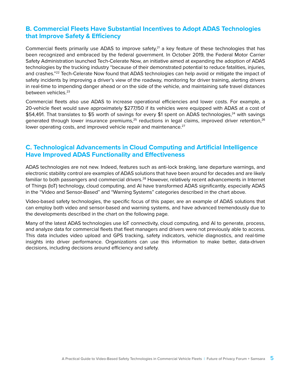#### **B. Commercial Fleets Have Substantial Incentives to Adopt ADAS Technologies that Improve Safety & Efficiency**

Commercial fleets primarily use ADAS to improve safety, $2<sup>1</sup>$  a key feature of these technologies that has been recognized and embraced by the federal government. In October 2019, the Federal Motor Carrier Safety Administration launched Tech-Celerate Now, an initiative aimed at expanding the adoption of ADAS technologies by the trucking industry "because of their demonstrated potential to reduce fatalities, injuries, and crashes."<sup>22</sup> Tech-Celerate Now found that ADAS technologies can help avoid or mitigate the impact of safety incidents by improving a driver's view of the roadway, monitoring for driver training, alerting drivers in real-time to impending danger ahead or on the side of the vehicle, and maintaining safe travel distances between vehicles.23

Commercial fleets also use ADAS to increase operational efficiencies and lower costs. For example, a 20-vehicle fleet would save approximately \$277,150 if its vehicles were equipped with ADAS at a cost of \$54,491. That translates to \$5 worth of savings for every \$1 spent on ADAS technologies,<sup>24</sup> with savings generated through lower insurance premiums, $25$  reductions in legal claims, improved driver retention, $26$ lower operating costs, and improved vehicle repair and maintenance.<sup>27</sup>

#### **C. Technological Advancements in Cloud Computing and Artificial Intelligence Have Improved ADAS Functionality and Effectiveness**

ADAS technologies are not new. Indeed, features such as anti-lock braking, lane departure warnings, and electronic stability control are examples of ADAS solutions that have been around for decades and are likely familiar to both passengers and commercial drivers.<sup>28</sup> However, relatively recent advancements in Internet of Things (IoT) technology, cloud computing, and AI have transformed ADAS significantly, especially ADAS in the "Video and Sensor-Based" and "Warning Systems" categories described in the chart above.

Video-based safety technologies, the specific focus of this paper, are an example of ADAS solutions that can employ both video and sensor-based and warning systems, and have advanced tremendously due to the developments described in the chart on the following page.

Many of the latest ADAS technologies use IoT connectivity, cloud computing, and AI to generate, process, and analyze data for commercial fleets that fleet managers and drivers were not previously able to access. This data includes video upload and GPS tracking, safety indicators, vehicle diagnostics, and real-time insights into driver performance. Organizations can use this information to make better, data-driven decisions, including decisions around efficiency and safety.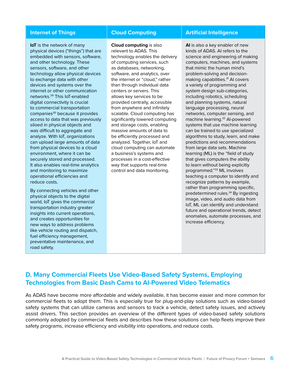**IoT** is the network of many physical devices ("things") that are embedded with sensors, software, and other technology. These sensors, software, and other technology allow physical devices to exchange data with other devices and systems over the internet or other communication networks.29 This IoT-enabled digital connectivity is crucial to commercial transportation companies<sup>30</sup> because it provides access to data that was previously siloed in physical objects and was difficult to aggregate and analyze. With IoT, organizations can upload large amounts of data from physical devices to a cloud environment, where it can be securely stored and processed. It also enables real-time analytics and monitoring to maximize operational efficiencies and reduce costs.

By connecting vehicles and other physical objects to the digital world, IoT gives the commercial transportation industry greater insights into current operations, and creates opportunities for new ways to address problems like vehicle routing and dispatch, fuel efficiency management, preventative maintenance, and road safety.

**Cloud computing** is also relevant to ADAS. This technology enables the delivery of computing services, such as databases, networking, software, and analytics, over the internet or "cloud," rather than through individual data centers or servers. This allows key services to be provided centrally, accessible from anywhere and infinitely scalable. Cloud computing has significantly lowered computing and storage costs, enabling massive amounts of data to be efficiently processed and analyzed. Together, IoT and cloud computing can automate a business's systems and processes in a cost-effective way that supports real-time control and data monitoring.

#### **Internet of Things The Cloud Computing The Artificial Intelligence**

**AI** is also a key enabler of new kinds of ADAS. AI refers to the science and engineering of making computers, machines, and systems that mimic the human mind's problem-solving and decisionmaking capabilities.<sup>31</sup> AI covers a variety of programming and system design sub-categories, including robotics, scheduling and planning systems, natural language processing, neural networks, computer sensing, and machine learning.32 AI-powered systems that use machine learning can be trained to use specialized algorithms to study, learn, and make predictions and recommendations from large data sets. Machine learning (ML) is the "field of study that gives computers the ability to learn without being explicitly programmed."33 ML involves teaching a computer to identify and recognize patterns by example, rather than programming specific, predetermined rules.<sup>34</sup> By ingesting image, video, and audio data from IoT, ML can identify and understand future and operational trends, detect anomalies, automate processes, and increase efficiency.

#### **D. Many Commercial Fleets Use Video-Based Safety Systems, Employing Technologies from Basic Dash Cams to AI-Powered Video Telematics**

As ADAS have become more affordable and widely available, it has become easier and more common for commercial fleets to adopt them. This is especially true for plug-and-play solutions such as video-based safety systems that can utilize cameras and sensors to track a vehicle, detect safety issues, and actively assist drivers. This section provides an overview of the different types of video-based safety solutions commonly adopted by commercial fleets and describes how these solutions can help fleets improve their safety programs, increase efficiency and visibility into operations, and reduce costs.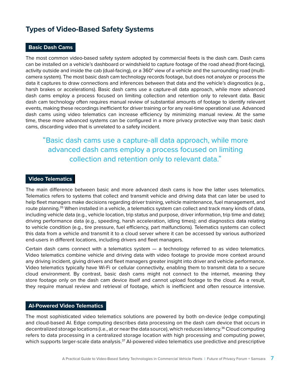### **Types of Video-Based Safety Systems**

#### **Basic Dash Cams**

The most common video-based safety system adopted by commercial fleets is the dash cam. Dash cams can be installed on a vehicle's dashboard or windshield to capture footage of the road ahead (front-facing), activity outside and inside the cab (dual-facing), or a 360° view of a vehicle and the surrounding road (multicamera system). The most basic dash cam technology records footage, but does not analyze or process the data it captures to draw connections and inferences between that data and the vehicle's diagnostics (e.g., harsh brakes or accelerations). Basic dash cams use a capture-all data approach, while more advanced dash cams employ a process focused on limiting collection and retention only to relevant data. Basic dash cam technology often requires manual review of substantial amounts of footage to identify relevant events, making these recordings inefficient for driver training or for any real-time operational use. Advanced dash cams using video telematics can increase efficiency by minimizing manual review. At the same time, these more advanced systems can be configured in a more privacy protective way than basic dash cams, discarding video that is unrelated to a safety incident.

### "Basic dash cams use a capture-all data approach, while more advanced dash cams employ a process focused on limiting collection and retention only to relevant data."

#### **Video Telematics**

The main difference between basic and more advanced dash cams is how the latter uses telematics. Telematics refers to systems that collect and transmit vehicle and driving data that can later be used to help fleet managers make decisions regarding driver training, vehicle maintenance, fuel management, and route planning.<sup>35</sup> When installed in a vehicle, a telematics system can collect and track many kinds of data, including vehicle data (e.g., vehicle location, trip status and purpose, driver information, trip time and date); driving performance data (e.g., speeding, harsh acceleration, idling times); and diagnostics data relating to vehicle condition (e.g., tire pressure, fuel efficiency, part malfunctions). Telematics systems can collect this data from a vehicle and transmit it to a cloud server where it can be accessed by various authorized end-users in different locations, including drivers and fleet managers.

Certain dash cams connect with a telematics system — a technology referred to as video telematics. Video telematics combine vehicle and driving data with video footage to provide more context around any driving incident, giving drivers and fleet managers greater insight into driver and vehicle performance. Video telematics typically have Wi-Fi or cellular connectivity, enabling them to transmit data to a secure cloud environment. By contrast, basic dash cams might not connect to the internet, meaning they store footage only on the dash cam device itself and cannot upload footage to the cloud. As a result, they require manual review and retrieval of footage, which is inefficient and often resource intensive.

#### **AI-Powered Video Telematics**

The most sophisticated video telematics solutions are powered by both on-device (edge computing) and cloud-based AI. Edge computing describes data processing on the dash cam device that occurs in decentralized storage locations (i.e., at or near the data source), which reduces latency.<sup>36</sup> Cloud computing refers to data processing in a centralized storage location with high processing and computing power, which supports larger-scale data analysis.<sup>37</sup> Al-powered video telematics use predictive and prescriptive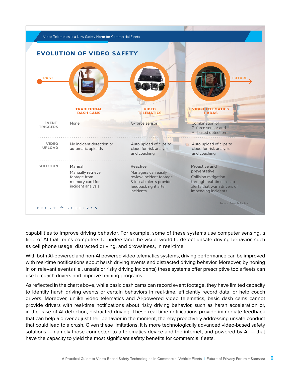

capabilities to improve driving behavior. For example, some of these systems use computer sensing, a field of AI that trains computers to understand the visual world to detect unsafe driving behavior, such as cell phone usage, distracted driving, and drowsiness, in real-time.

With both AI-powered and non-AI powered video telematics systems, driving performance can be improved with real-time notifications about harsh driving events and distracted driving behavior. Moreover, by honing in on relevant events (i.e., unsafe or risky driving incidents) these systems offer prescriptive tools fleets can use to coach drivers and improve training programs.

As reflected in the chart above, while basic dash cams can record event footage, they have limited capacity to identify harsh driving events or certain behaviors in real-time, efficiently record data, or help coach drivers. Moreover, unlike video telematics and AI-powered video telematics, basic dash cams cannot provide drivers with real-time notifications about risky driving behavior, such as harsh acceleration or, in the case of AI detection, distracted driving. These real-time notifications provide immediate feedback that can help a driver adjust their behavior in the moment, thereby proactively addressing unsafe conduct that could lead to a crash. Given these limitations, it is more technologically advanced video-based safety solutions — namely those connected to a telematics device and the internet, and powered by AI — that have the capacity to yield the most significant safety benefits for commercial fleets.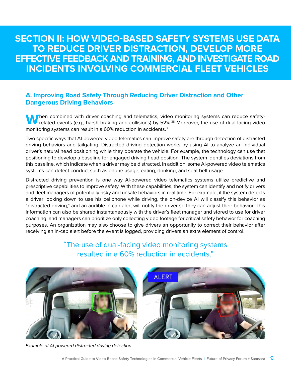**SECTION II: HOW VIDEO-BASED SAFETY SYSTEMS USE DATA TO REDUCE DRIVER DISTRACTION, DEVELOP MORE EFFECTIVE FEEDBACK AND TRAINING, AND INVESTIGATE ROAD INCIDENTS INVOLVING COMMERCIAL FLEET VEHICLES**

#### **A. Improving Road Safety Through Reducing Driver Distraction and Other Dangerous Driving Behaviors**

When combined with driver coaching and telematics, video monitoring systems can reduce safety-<br>related events (e.g., harsh braking and collisions) by 52%.<sup>38</sup> Moreover, the use of dual-facing video monitoring systems can result in a 60% reduction in accidents.<sup>39</sup>

Two specific ways that AI-powered video telematics can improve safety are through detection of distracted driving behaviors and tailgating. Distracted driving detection works by using AI to analyze an individual driver's natural head positioning while they operate the vehicle. For example, the technology can use that positioning to develop a baseline for engaged driving head position. The system identifies deviations from this baseline, which indicate when a driver may be distracted. In addition, some AI-powered video telematics systems can detect conduct such as phone usage, eating, drinking, and seat belt usage.

Distracted driving prevention is one way AI-powered video telematics systems utilize predictive and prescriptive capabilities to improve safety. With these capabilities, the system can identify and notify drivers and fleet managers of potentially risky and unsafe behaviors in real time. For example, if the system detects a driver looking down to use his cellphone while driving, the on-device AI will classify this behavior as "distracted driving," and an audible in-cab alert will notify the driver so they can adjust their behavior. This information can also be shared instantaneously with the driver's fleet manager and stored to use for driver coaching, and managers can prioritize only collecting video footage for critical safety behavior for coaching purposes. An organization may also choose to give drivers an opportunity to correct their behavior after receiving an in-cab alert before the event is logged, providing drivers an extra element of control.



"The use of dual-facing video monitoring systems resulted in a 60% reduction in accidents."

*Example of AI-powered distracted driving detection.*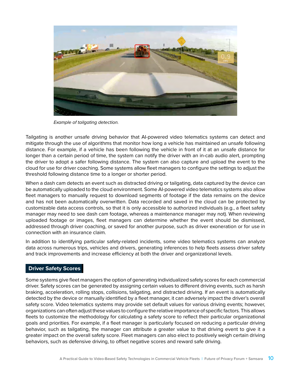

*Example of tailgating detection.*

Tailgating is another unsafe driving behavior that AI-powered video telematics systems can detect and mitigate through the use of algorithms that monitor how long a vehicle has maintained an unsafe following distance. For example, if a vehicle has been following the vehicle in front of it at an unsafe distance for longer than a certain period of time, the system can notify the driver with an in-cab audio alert, prompting the driver to adopt a safer following distance. The system can also capture and upload the event to the cloud for use for driver coaching. Some systems allow fleet managers to configure the settings to adjust the threshold following distance time to a longer or shorter period.

When a dash cam detects an event such as distracted driving or tailgating, data captured by the device can be automatically uploaded to the cloud environment. Some AI-powered video telematics systems also allow fleet managers to manually request to download segments of footage if the data remains on the device and has not been automatically overwritten. Data recorded and saved in the cloud can be protected by customizable data access controls, so that it is only accessible to authorized individuals (e.g., a fleet safety manager may need to see dash cam footage, whereas a maintenance manager may not). When reviewing uploaded footage or images, fleet managers can determine whether the event should be dismissed, addressed through driver coaching, or saved for another purpose, such as driver exoneration or for use in connection with an insurance claim.

In addition to identifying particular safety-related incidents, some video telematics systems can analyze data across numerous trips, vehicles and drivers, generating inferences to help fleets assess driver safety and track improvements and increase efficiency at both the driver and organizational levels.

#### **Driver Safety Scores**

Some systems give fleet managers the option of generating individualized safety scores for each commercial driver. Safety scores can be generated by assigning certain values to different driving events, such as harsh braking, acceleration, rolling stops, collisions, tailgating, and distracted driving. If an event is automatically detected by the device or manually identified by a fleet manager, it can adversely impact the driver's overall safety score. Video telematics systems may provide set default values for various driving events; however, organizations can often adjust these values to configure the relative importance of specific factors. This allows fleets to customize the methodology for calculating a safety score to reflect their particular organizational goals and priorities. For example, if a fleet manager is particularly focused on reducing a particular driving behavior, such as tailgating, the manager can attribute a greater value to that driving event to give it a greater impact on the overall safety score. Fleet managers can also elect to positively weigh certain driving behaviors, such as defensive driving, to offset negative scores and reward safe driving.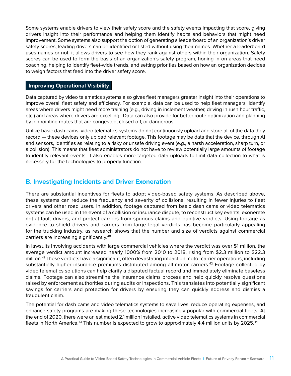Some systems enable drivers to view their safety score and the safety events impacting that score, giving drivers insight into their performance and helping them identify habits and behaviors that might need improvement. Some systems also support the option of generating a leaderboard of an organization's driver safety scores; leading drivers can be identified or listed without using their names. Whether a leaderboard uses names or not, it allows drivers to see how they rank against others within their organization. Safety scores can be used to form the basis of an organization's safety program, honing in on areas that need coaching, helping to identify fleet-wide trends, and setting priorities based on how an organization decides to weigh factors that feed into the driver safety score.

#### **Improving Operational Visibility**

Data captured by video telematics systems also gives fleet managers greater insight into their operations to improve overall fleet safety and efficiency. For example, data can be used to help fleet managers identify areas where drivers might need more training (e.g., driving in inclement weather, driving in rush hour traffic, etc.) and areas where drivers are excelling. Data can also provide for better route optimization and planning by pinpointing routes that are congested, closed-off, or dangerous.

Unlike basic dash cams, video telematics systems do not continuously upload and store all of the data they record — these devices only upload relevant footage. This footage may be data that the device, through AI and sensors, identifies as relating to a risky or unsafe driving event (e.g., a harsh acceleration, sharp turn, or a collision). This means that fleet administrators do not have to review potentially large amounts of footage to identify relevant events. It also enables more targeted data uploads to limit data collection to what is necessary for the technologies to properly function.

#### **B. Investigating Incidents and Driver Exoneration**

There are substantial incentives for fleets to adopt video-based safety systems. As described above, these systems can reduce the frequency and severity of collisions, resulting in fewer injuries to fleet drivers and other road users. In addition, footage captured from basic dash cams or video telematics systems can be used in the event of a collision or insurance dispute, to reconstruct key events, exonerate not-at-fault drivers, and protect carriers from spurious claims and punitive verdicts. Using footage as evidence to shield drivers and carriers from large legal verdicts has become particularly appealing for the trucking industry, as research shows that the number and size of verdicts against commercial carriers are increasing significantly.40

In lawsuits involving accidents with large commercial vehicles where the verdict was over \$1 million, the average verdict amount increased nearly 1000% from 2010 to 2018, rising from \$2.3 million to \$22.3 million.41 These verdicts have a significant, often devastating impact on motor carrier operations, including substantially higher insurance premiums distributed among all motor carriers.<sup>42</sup> Footage collected by video telematics solutions can help clarify a disputed factual record and immediately eliminate baseless claims. Footage can also streamline the insurance claims process and help quickly resolve questions raised by enforcement authorities during audits or inspections. This translates into potentially significant savings for carriers and protection for drivers by ensuring they can quickly address and dismiss a fraudulent claim.

The potential for dash cams and video telematics systems to save lives, reduce operating expenses, and enhance safety programs are making these technologies increasingly popular with commercial fleets. At the end of 2020, there were an estimated 2.1 million installed, active video telematics systems in commercial fleets in North America.<sup>43</sup> This number is expected to grow to approximately 4.4 million units by 2025.<sup>44</sup>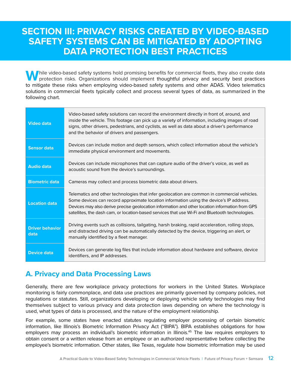### **SECTION III: PRIVACY RISKS CREATED BY VIDEO-BASED SAFETY SYSTEMS CAN BE MITIGATED BY ADOPTING DATA PROTECTION BEST PRACTICES**

**M** hile video-based safety systems hold promising benefits for commercial fleets, they also create data protection risks. Organizations should implement thoughtful privacy and security best practices to mitigate these risks when employing video-based safety systems and other ADAS. Video telematics solutions in commercial fleets typically collect and process several types of data, as summarized in the following chart.

| <b>Video data</b>              | Video-based safety solutions can record the environment directly in front of, around, and<br>inside the vehicle. This footage can pick up a variety of information, including images of road<br>signs, other drivers, pedestrians, and cyclists, as well as data about a driver's performance<br>and the behavior of drivers and passengers.                                                 |
|--------------------------------|----------------------------------------------------------------------------------------------------------------------------------------------------------------------------------------------------------------------------------------------------------------------------------------------------------------------------------------------------------------------------------------------|
| <b>Sensor data</b>             | Devices can include motion and depth sensors, which collect information about the vehicle's<br>immediate physical environment and movements.                                                                                                                                                                                                                                                 |
| <b>Audio data</b>              | Devices can include microphones that can capture audio of the driver's voice, as well as<br>acoustic sound from the device's surroundings.                                                                                                                                                                                                                                                   |
| <b>Biometric data</b>          | Cameras may collect and process biometric data about drivers.                                                                                                                                                                                                                                                                                                                                |
| <b>Location data</b>           | Telematics and other technologies that infer geolocation are common in commercial vehicles.<br>Some devices can record approximate location information using the device's IP address.<br>Devices may also derive precise geolocation information and other location information from GPS<br>satellites, the dash cam, or location-based services that use Wi-Fi and Bluetooth technologies. |
| <b>Driver behavior</b><br>data | Driving events such as collisions, tailgating, harsh braking, rapid acceleration, rolling stops,<br>and distracted driving can be automatically detected by the device, triggering an alert, or<br>manually identified by a fleet manager.                                                                                                                                                   |
| <b>Device data</b>             | Devices can generate log files that include information about hardware and software, device<br>identifiers, and IP addresses.                                                                                                                                                                                                                                                                |

### **A. Privacy and Data Processing Laws**

Generally, there are few workplace privacy protections for workers in the United States. Workplace monitoring is fairly commonplace, and data use practices are primarily governed by company policies, not regulations or statutes. Still, organizations developing or deploying vehicle safety technologies may find themselves subject to various privacy and data protection laws depending on where the technology is used, what types of data is processed, and the nature of the employment relationship.

For example, some states have enacted statutes regulating employer processing of certain biometric information, like Illinois's Biometric Information Privacy Act ("BIPA"). BIPA establishes obligations for how employers may process an individual's biometric information in Illinois.<sup>45</sup> The law requires employers to obtain consent or a written release from an employee or an authorized representative before collecting the employee's biometric information. Other states, like Texas, regulate how biometric information may be used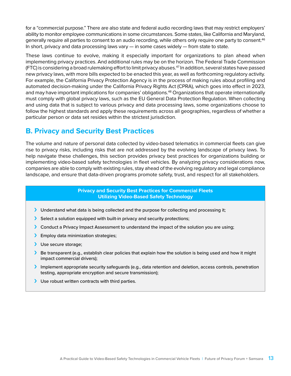for a "commercial purpose." There are also state and federal audio recording laws that may restrict employers' ability to monitor employee communications in some circumstances. Some states, like California and Maryland, generally require all parties to consent to an audio recording, while others only require one party to consent.<sup>46</sup> In short, privacy and data processing laws vary — in some cases widely — from state to state.

These laws continue to evolve, making it especially important for organizations to plan ahead when implementing privacy practices. And additional rules may be on the horizon. The Federal Trade Commission (FTC) is considering a broad rulemaking effort to limit privacy abuses.47 In addition, several states have passed new privacy laws, with more bills expected to be enacted this year, as well as forthcoming regulatory activity. For example, the California Privacy Protection Agency is in the process of making rules about profiling and automated decision-making under the California Privacy Rights Act (CPRA), which goes into effect in 2023, and may have important implications for companies' obligations.<sup>48</sup> Organizations that operate internationally must comply with global privacy laws, such as the EU General Data Protection Regulation. When collecting and using data that is subject to various privacy and data processing laws, some organizations choose to follow the highest standards and apply these requirements across all geographies, regardless of whether a particular person or data set resides within the strictest jurisdiction.

### **B. Privacy and Security Best Practices**

The volume and nature of personal data collected by video-based telematics in commercial fleets can give rise to privacy risks, including risks that are not addressed by the evolving landscape of privacy laws. To help navigate these challenges, this section provides privacy best practices for organizations building or implementing video-based safety technologies in fleet vehicles. By analyzing privacy considerations now, companies are able to comply with existing rules, stay ahead of the evolving regulatory and legal compliance landscape, and ensure that data-driven programs promote safety, trust, and respect for all stakeholders.

> **Privacy and Security Best Practices for Commercial Fleets Utilizing Video-Based Safety Technology**

- › Understand what data is being collected and the purpose for collecting and processing it;
- › Select a solution equipped with built-in privacy and security protections;
- > Conduct a Privacy Impact Assessment to understand the impact of the solution you are using;
- > Employ data minimization strategies;
- > Use secure storage;
- › Be transparent (e.g., establish clear policies that explain how the solution is being used and how it might impact commercial drivers);
- › Implement appropriate security safeguards (e.g., data retention and deletion, access controls, penetration testing, appropriate encryption and secure transmission);
- › Use robust written contracts with third parties.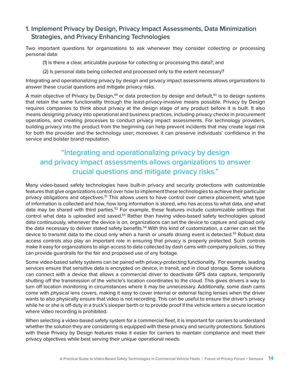#### 1. Implement Privacy by Design, Privacy Impact Assessments, Data Minimization Strategies, and Privacy Enhancing Technologies

Two important questions for organizations to ask whenever they consider collecting or processing personal data:

(1) Is there a clear, articulable purpose for collecting or processing this data?; and

(2) Is personal data being collected and processed only to the extent necessary?

Integrating and operationalizing privacy by design and privacy impact assessments allows organizations to answer these crucial questions and mitigate privacy risks.

A main objective of Privacy by Design, $49$  or data protection by design and default, $50$  is to design systems that retain the same functionality through the least-privacy-invasive means possible. Privacy by Design requires companies to think about privacy at the design stage of any product before it is built. It also means designing privacy into operational and business practices, including privacy checks in procurement operations, and creating processes to conduct privacy impact assessments. For technology providers, building privacy into the product from the beginning can help prevent incidents that may create legal risk for both the provider and the technology user; moreover, it can preserve individuals' confidence in the service and bolster brand reputation.

### "Integrating and operationalizing privacy by design and privacy impact assessments allows organizations to answer crucial questions and mitigate privacy risks."

Many video-based safety technologies have built-in privacy and security protections with customizable features that give organizations control over how to implement these technologies to achieve their particular privacy obligations and objectives.<sup>51</sup> This allows users to have control over camera placement, what type of information is collected and how, how long information is stored, who has access to what data, and what data may be shared with third parties.<sup>52</sup> For example, these features include customizable settings that control what data is uploaded and saved.<sup>53</sup> Rather than having video-based safety technologies upload data continuously, whenever the device is on, organizations can set the device to capture and upload only the data necessary to deliver stated safety benefits.<sup>54</sup> With this kind of customization, a carrier can set the device to transmit data to the cloud only when a harsh or unsafe driving event is detected.<sup>55</sup> Robust data access controls also play an important role in ensuring that privacy is properly protected. Such controls make it easy for organizations to align access to data collected by dash cams with company policies, so they can provide guardrails for the fair and proposed use of any footage.

Some video-based safety systems can be paired with privacy-protecting functionality. For example, leading services ensure that sensitive data is encrypted on device, in transit, and in cloud storage. Some solutions can connect with a device that allows a commercial driver to deactivate GPS data capture, temporarily shutting off the transmission of the vehicle's location coordinates to the cloud. This gives drivers a way to turn off location monitoring in circumstances where it may be unnecessary. Additionally, some dash cams come with physical lens covers, making it easy to cover internal or external facing lenses when the driver wants to also physically ensure that video is not recording. This can be useful to ensure the driver's privacy while he or she is off-duty in a truck's sleeper berth or to provide proof if the vehicle enters a secure location where video recording is prohibited.

When selecting a video-based safety system for a commercial fleet, it is important for carriers to understand whether the solution they are considering is equipped with these privacy and security protections. Solutions with these Privacy by Design features make it easier for carriers to maintain compliance and meet their privacy objectives while best serving their unique operational needs.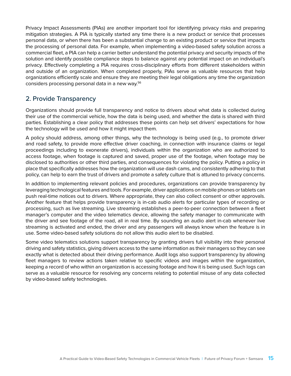Privacy Impact Assessments (PIAs) are another important tool for identifying privacy risks and preparing mitigation strategies. A PIA is typically started any time there is a new product or service that processes personal data, or when there has been a substantial change to an existing product or service that impacts the processing of personal data. For example, when implementing a video-based safety solution across a commercial fleet, a PIA can help a carrier better understand the potential privacy and security impacts of the solution and identify possible compliance steps to balance against any potential impact on an individual's privacy. Effectively completing a PIA requires cross-disciplinary efforts from different stakeholders within and outside of an organization. When completed properly, PIAs serve as valuable resources that help organizations efficiently scale and ensure they are meeting their legal obligations any time the organization considers processing personal data in a new way.<sup>56</sup>

#### 2. Provide Transparency

Organizations should provide full transparency and notice to drivers about what data is collected during their use of the commercial vehicle, how the data is being used, and whether the data is shared with third parties. Establishing a clear policy that addresses these points can help set drivers' expectations for how the technology will be used and how it might impact them.

A policy should address, among other things, why the technology is being used (e.g., to promote driver and road safety, to provide more effective driver coaching, in connection with insurance claims or legal proceedings including to exonerate drivers), individuals within the organization who are authorized to access footage, when footage is captured and saved, proper use of the footage, when footage may be disclosed to authorities or other third parties, and consequences for violating the policy. Putting a policy in place that specifically addresses how the organization will use dash cams, and consistently adhering to that policy, can help to earn the trust of drivers and promote a safety culture that is attuned to privacy concerns.

In addition to implementing relevant policies and procedures, organizations can provide transparency by leveraging technological features and tools. For example, driver applications on mobile phones or tablets can push real-time notices out to drivers. Where appropriate, they can also collect consent or other approvals. Another feature that helps provide transparency is in-cab audio alerts for particular types of recording or processing, such as live streaming. Live streaming establishes a peer-to-peer connection between a fleet manager's computer and the video telematics device, allowing the safety manager to communicate with the driver and see footage of the road, all in real time. By sounding an audio alert in-cab whenever live streaming is activated and ended, the driver and any passengers will always know when the feature is in use. Some video-based safety solutions do not allow this audio alert to be disabled.

Some video telematics solutions support transparency by granting drivers full visibility into their personal driving and safety statistics, giving drivers access to the same information as their managers so they can see exactly what is detected about their driving performance. Audit logs also support transparency by allowing fleet managers to review actions taken relative to specific videos and images within the organization, keeping a record of who within an organization is accessing footage and how it is being used. Such logs can serve as a valuable resource for resolving any concerns relating to potential misuse of any data collected by video-based safety technologies.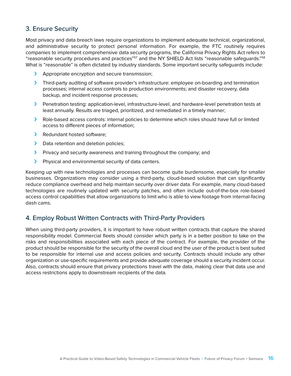#### 3. Ensure Security

Most privacy and data breach laws require organizations to implement adequate technical, organizational, and administrative security to protect personal information. For example, the FTC routinely requires companies to implement comprehensive data security programs, the California Privacy Rights Act refers to "reasonable security procedures and practices"57 and the NY SHIELD Act lists "reasonable safeguards."58 What is "reasonable" is often dictated by industry standards. Some important security safeguards include:

- › Appropriate encryption and secure transmission;
- › Third-party auditing of software provider's infrastructure: employee on-boarding and termination processes; internal access controls to production environments; and disaster recovery, data backup, and incident response processes;
- › Penetration testing: application-level, infrastructure-level, and hardware-level penetration tests at least annually. Results are triaged, prioritized, and remediated in a timely manner;
- › Role-based access controls: internal policies to determine which roles should have full or limited access to different pieces of information;
- > Redundant hosted software;
- > Data retention and deletion policies;
- › Privacy and security awareness and training throughout the company; and
- > Physical and environmental security of data centers.

Keeping up with new technologies and processes can become quite burdensome, especially for smaller businesses. Organizations may consider using a third-party, cloud-based solution that can significantly reduce compliance overhead and help maintain security over driver data. For example, many cloud-based technologies are routinely updated with security patches, and often include out-of-the-box role-based access control capabilities that allow organizations to limit who is able to view footage from internal-facing dash cams.

#### 4. Employ Robust Written Contracts with Third-Party Providers

When using third-party providers, it is important to have robust written contracts that capture the shared responsibility model. Commercial fleets should consider which party is in a better position to take on the risks and responsibilities associated with each piece of the contract. For example, the provider of the product should be responsible for the security of the overall cloud and the user of the product is best suited to be responsible for internal use and access policies and security. Contracts should include any other organization or use-specific requirements and provide adequate coverage should a security incident occur. Also, contracts should ensure that privacy protections travel with the data, making clear that data use and access restrictions apply to downstream recipients of the data.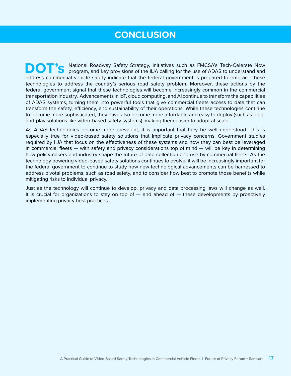### **CONCLUSION**

**DOT'S** National Roadway Safety Strategy, initiatives such as FMCSA's Tech-Celerate Now program, and key provisions of the IIJA calling for the use of ADAS to understand and address commercial vehicle safety indicate that the federal government is prepared to embrace these technologies to address the country's serious road safety problem. Moreover, these actions by the federal government signal that these technologies will become increasingly common in the commercial transportation industry. Advancements in IoT, cloud computing, and AI continue to transform the capabilities of ADAS systems, turning them into powerful tools that give commercial fleets access to data that can transform the safety, efficiency, and sustainability of their operations. While these technologies continue to become more sophisticated, they have also become more affordable and easy to deploy (such as plugand-play solutions like video-based safety systems), making them easier to adopt at scale.

As ADAS technologies become more prevalent, it is important that they be well understood. This is especially true for video-based safety solutions that implicate privacy concerns. Government studies required by IIJA that focus on the effectiveness of these systems and how they can best be leveraged in commercial fleets — with safety and privacy considerations top of mind — will be key in determining how policymakers and industry shape the future of data collection and use by commercial fleets. As the technology powering video-based safety solutions continues to evolve, it will be increasingly important for the federal government to continue to study how new technological advancements can be harnessed to address pivotal problems, such as road safety, and to consider how best to promote those benefits while mitigating risks to individual privacy.

Just as the technology will continue to develop, privacy and data processing laws will change as well. It is crucial for organizations to stay on top of — and ahead of — these developments by proactively implementing privacy best practices.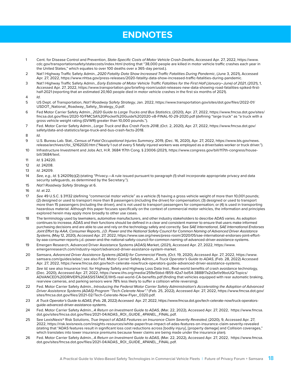### **ENDNOTES**

- 1 Cent. for Disease Control and Prevention, *State-Specific Costs of Motor Vehicle Crash Deaths*, Accessed Apr. 27, 2022, https://www. cdc.gov/transportationsafety/statecosts/index.html (noting that "38,000 people are killed in motor vehicle traffic crashes each year in the United States," which equates to over 100 deaths over a 365-day period.).
- 2 Nat'l Highway Traffic Safety Admin., *2020 Fatality Data Show Increased Traffic Fatalities During Pandemic*, (June 3, 2021), Accessed Apr. 27, 2022, https://www.nhtsa.gov/press-releases/2020-fatality-data-show-increased-traffic-fatalities-during-pandemic.
- 3 Nat'l Highway Traffic Safety Admin., *Early Estimate of Motor Vehicle Traffic Fatalities for the First Half (January–June) of 2021*, (2021), 1, Accessed Apr. 27, 2022, [https://www.transportation.gov/briefing-room/usdot-releases-new-data-showing-road-fatalities-spiked-first](https://www.transportation.gov/briefing-room/usdot-releases-new-data-showing-road-fatalities-spiked-first-half-2021)[half-2021](https://www.transportation.gov/briefing-room/usdot-releases-new-data-showing-road-fatalities-spiked-first-half-2021) (reporting that an estimated 20,160 people died in motor vehicle crashes in the first six months of 2021).
- 4 *Id*.
- 5 US Dept. of Transportation, *Nat'l Roadway Safety Strategy*, Jan. 2022, [https://www.transportation.gov/sites/dot.gov/files/2022-01/](https://www.transportation.gov/sites/dot.gov/files/2022-01/USDOT_National_Roadway_Safety_Strategy_0.pdf) [USDOT\\_National\\_Roadway\\_Safety\\_Strategy\\_0.pdf](https://www.transportation.gov/sites/dot.gov/files/2022-01/USDOT_National_Roadway_Safety_Strategy_0.pdf).
- 6 Fed Motor Carrier Safety Admin., *2020 Guide to Large Trucks and Bus Statistics*, (2020), Apr. 27, 2022, [https://www.fmcsa.dot.gov/sites/](https://www.fmcsa.dot.gov/sites/fmcsa.dot.gov/files/2020-10/FMCSA%20Pocket%20Guide%202020-v8-FINAL-10-29-2020.pdf) [fmcsa.dot.gov/files/2020-10/FMCSA%20Pocket%20Guide%202020-v8-FINAL-10-29-2020.pdf](https://www.fmcsa.dot.gov/sites/fmcsa.dot.gov/files/2020-10/FMCSA%20Pocket%20Guide%202020-v8-FINAL-10-29-2020.pdf) (defining "large truck" as "a truck with a gross vehicle weight rating (GVWR) greater than 10,000 pounds.").
- 7 Fed. Motor Carrier Safety Admin., *Large Truck and Bus Crash Facts 2018*, (Oct. 2, 2020), Apr. 27, 2022, https://www.fmcsa.dot.gov/ safety/data-and-statistics/large-truck-and-bus-crash-facts-2018.
- 8 *Id*.
- 9 U.S. Bureau Lab. Stat., *Census of Fatal Occupational Injuries Summary*, 2019, (Dec. 16, 2020), Apr. 27, 2022, https://www.bls.gov/news. release/archives/cfoi\_12162020.htm ("Nearly 1 out of every 5 fatally injured workers was employed as a driver/sales worker or truck driver.").
- 10 Infrastructure Investment and Jobs Act, H.R. 3684 117th Cong. § 23006 (2021), https://www.congress.gov/bill/117th-congress/housebill/3684/text.
- 11 *Id*. § 24220.
- 12 *Id*. 24208.
- 13 *Id*. 24209.
- 14 *See, e.g., Id.* § 24209(c)(2) (stating "Privacy.—A rule issued pursuant to paragraph (1) shall incorporate appropriate privacy and data security safeguards, as determined by the Secretary.").
- 15 *Nat'l Roadway Safety Strategy* at 6.
- 16 *Id*. at 22.
- 17 *See* 49 U.S.C. § 31132 (defining "commercial motor vehicle" as a vehicle (1) having a gross vehicle weight of more than 10,001 pounds; (2) designed or used to transport more than 8 passengers (including the driver) for compensation; (3) designed or used to transport more than 15 passengers (including the driver), and is not used to transport passengers for compensation; or (4) is used in transporting hazardous material. Although this paper focuses specifically on the context of commercial motor vehicles, the information and principles explored herein may apply more broadly to other use cases.
- 18 The terminology used by lawmakers, automotive manufacturers, and other industry stakeholders to describe ADAS varies. As adoption continues to increase, ADAS and their functions should be defined in a clear and consistent manner to ensure that users make informed purchasing decisions and are able to use and rely on the technology safely and correctly. See *SAE International, SAE International Endorses Joint Effort by AAA, Consumer Reports, J.D. Power and the National Safety Council for Common Naming of Advanced Driver Assistance Systems*, (May 12, 2020), Accessed Apr. 27, 2022, https://www.sae.org/news/press-room/2020/05/sae-international-endorses-joint-effortby-aaa-consumer-reports-j.d.-power-and-the-national-safety-council-for-common-naming-of-advanced-driver-assistance-systems.
- 19 Emergen Research, Advanced Driver Assistance Systems (ADAS) Market, (2021), Accessed Apr. 27, 2022, [https://www.](https://www.emergenresearch.com/industry-report/advanced-driver-assistance-system-market) [emergenresearch.com/industry-report/advanced-driver-assistance-system-market](https://www.emergenresearch.com/industry-report/advanced-driver-assistance-system-market).
- 20 Samsara, *Advanced Driver Assistance Systems (ADAS) for Commercial Fleets*, (Oct. 19, 2020), Accessed Apr. 27, 2022, [https://www.](https://www.samsara.com/guides/adas/) [samsara.com/guides/adas/](https://www.samsara.com/guides/adas/); see also Fed. Motor Carrier Safety Admin., *A Truck Operator's Guide to ADAS*, (Feb. 28, 2022) Accessed Apr. 27, 2022, https://www.fmcsa.dot.gov/tech-celerate-now/truck-operators-guide-advanced-driver-assistance-systems.
- 21 *See Id;* see also Insurance Inst. for Highway Safety and Highway Loss Data Inst., Real-world benefits of crash avoidance technology, (Dec. 2020), Accessed Apr. 27, 2022, https://www.iihs.org/media/259e5bbd-f859-42a7-bd54-3888f7a2d3ef/e9boUQ/Topics/ ADVANCED%20DRIVER%20ASSISTANCE/IIHS-real-world-CA-benefits.pdf (finding that vehicles equipped with rear automatic braking, rearview cameras, and parking sensors were 78% less likely to suffer a collision while reversing).
- 22 Fed. Motor Carrier Safety Admin., *Introducing the Federal Motor Carrier Safety Administration's Accelerating the Adoption of Advanced Driver Assistance Systems (ADAS) Program "Tech-Celerate Now"."* (Feb. 25, 2022), Accessed Apr. 27, 2022, https://www.fmcsa.dot.gov/ sites/fmcsa.dot.gov/files/2021-02/Tech-Celerate-Now-Flyer\_0320.pdf.
- 23 *A Truck Operator's Guide to ADAS,* (Feb. 28, 2022) Accessed Apr. 27, 2022, https://www.fmcsa.dot.gov/tech-celerate-now/truck-operatorsguide-advanced-driver-assistance-systems.
- 24 Fed. Motor Carrier Safety Admin., *A Return on Investment Guide to ADAS,* (Mar. 22, 2022), Accessed Apr. 27, 2022, https://www.fmcsa. dot.gov/sites/fmcsa.dot.gov/files/2021-04/ADAS\_ROI\_GUIDE\_4PANEL\_FINAL.pdf.
- 25 See LexisNexis® Risk Solutions, *True Impact of ADAS Features on Insurance Claim Severity Revealed*, (2020), 9, Accessed Apr. 27, 2022, https://risk.lexisnexis.com/insights-resources/white-paper/true-impact-of-adas-features-on-insurance-claim-severity-revealed (stating that "ADAS features result in significant loss cost reductions across [bodily injury], [property damage] and Collision coverages," which translates into lower insurance premiums because fewer claims are being made under the insurance plan).
- 26 Fed. Motor Carrier Safety Admin., *A Return on Investment Guide to ADAS,* (Mar. 22, 2022), Accessed Apr. 27, 2022, https://www.fmcsa. dot.gov/sites/fmcsa.dot.gov/files/2021-04/ADAS\_ROI\_GUIDE\_4PANEL\_FINAL.pdf.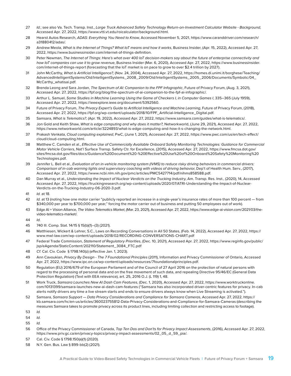- 27 *Id.*; see also Va. Tech. Transp. Inst., *Large Truck Advanced Safety Technology Return-on-Investment Calculator Website Background*, Accessed Apr. 27, 2022, https://www.vtti.vt.edu/roicalculator/background.html.
- 28 Hearst Autos Research, *ADAS: Everything You Need to Know*, Accessed November 5, 2021[, https://www.caranddriver.com/research/](https://www.caranddriver.com/research/a31880412/adas/) [a31880412/adas/.](https://www.caranddriver.com/research/a31880412/adas/)
- 29 Andrew Meola, *What is the Internet of Things? What IoT means and how it works*, Business Insider, (Apr. 15, 2022), Accessed Apr. 27, 2022, https://www.businessinsider.com/internet-of-things-definition.
- 30 Peter Newman, *The Internet of Things: Here's what over 400 IoT decision-makers say about the future of enterprise connectivity and how IoT companies can use it to grow revenue*, Business Insider (Mar. 6, 2020), Accessed Apr. 27, 2022, https://www.businessinsider. com/internet-of-things-report (forecasting that the IoT market is on pace to grow to over \$2.4 trillion by 2027).
- 31 John McCarthy, *What is Artificial Intelligence?,* (Nov. 24, 2004), Accessed Apr. 27, 2022, https://homes.di.unimi.it/borghese/Teaching/ AdvancedIntelligentSystems/Old/IntelligentSystems\_2008\_2009/Old/IntelligentSystems\_2005\_2006/Documents/Symbolic/04\_ McCarthy\_whatisai.pdf.
- 32 Brenda Leong and Sara Jordan, *The Spectrum of AI: Companion to the FPF Infographic*, Future of Privacy Forum, (Aug. 3, 2021), Accessed Apr. 27, 2022, https://fpf.org/blog/the-spectrum-of-ai-companion-to-the-fpf-ai-infographic/.
- 33 Arthur L. Samuel, *Some Studies in Machine Learning Using the Game of Checkers I, in Computer Games I*, 335–365 (July 1959), Accessed Apr. 27, 2022, https://ieeexplore.ieee.org/document/5392560.
- 34 Future of Privacy Forum, *The Privacy Expert's Guide to Artificial Intelligence and Machine Learning*, Future of Privacy Forum, (2018), Accessed Apr. 27, 2022, https://fpf.org/wp-content/uploads/2018/10/FPF\_Artificial-Intelligence\_Digital.pdf.
- 35 Samsara, *What is Telematics?,* (Apr. 19, 2022), Accessed Apr. 27, 2022, https://www.samsara.com/guides/what-is-telematics/.
- 36 Jon Gold and Keith Shaw, *What is edge computing and why does it matter?,* Networkworld, (June 29, 2021), Accessed Apr. 27, 2022, https://www.networkworld.com/article/3224893/what-is-edge-computing-and-how-it-s-changing-the-network.html.
- 37 Prakash Venkata, *Cloud computing explained*, PwC, (June 1, 2021), Accessed Apr. 27, 2022, [https://www.pwc.com/us/en/tech-effect/](https://www.pwc.com/us/en/tech-effect/cloud/cloud-computing.html) [cloud/cloud-computing.html](https://www.pwc.com/us/en/tech-effect/cloud/cloud-computing.html).
- 38 Matthew C. Camden et al., *Effective Use of Commercially Available Onboard Safety Monitoring Technologies: Guidance for Commercial Motor Vehicle Carriers*, Nat'l Surface Transp. Safety Ctr. for Excellence, (2015), Accessed Apr. 27, 2022, https://www.fmcsa.dot.gov/ sites/fmcsa.dot.gov/files/docs/Guidance%20Document%20-%20Effective%20Use%20of%20Onboard%20Safety%20Monitoring%20 Technologies.pdf.
- 39 Jennifer L. Bell et al., *Evaluation of an in-vehicle monitoring system (IVMS) to reduce risky driving behaviors in commercial drivers: Comparison of in-cab warning lights and supervisory coaching with videos of driving behavior*, Dep't of Health Hum. Serv., (2017), Accessed Apr. 27, 2022, [https://www.ncbi.nlm.nih.gov/pmc/articles/PMC5427714/](https://www.ncbi.nlm.nih.gov/pmc/articles/PMC5427714)pdf/nihms858588.pdf.
- 40 Dan Murray et al., *Understanding the Impact of Nuclear Verdicts on the Trucking Industry*, Am. Transp. Res. Inst., (2020), 14, Accessed Accessed Apr. 27, 2022, https://truckingresearch.org/wp-content/uploads/2020/07/ATRI-Understanding-the-Impact-of-Nuclear-Verdicts-on-the-Trucking-Industry-06-2020-3.pdf.
- 41 *Id.* at 18.
- 42 *Id.* at 13 (noting how one motor carrier "publicly reported an increase in a single-year's insurance rates of more than 100 percent from \$340,000 per year to \$700,000 per year," forcing the motor carrier out of business and putting 50 employees out of work).
- 43 Edge AI + Vision Alliance, *The Video Telematics Market*, (Mar. 23, 2021), Accessed Apr. 27, 2022, https://www.edge-ai-vision.com/2021/03/thevideo-telematics-market/.
- 44 *Id*.
- 45 740 Ill. Comp. Stat. 14/15 § 15(b)(1)–(3) (2021).
- 46 Matthiesen, Wickert & Lehrer, S.C., Laws on Recording Conversations in All 50 States, (Feb. 14, 2022), Accessed Apr. 27, 2022, https:// www.mwl-law.com/wp-content/uploads/2018/02/RECORDING-CONVERSATIONS-CHART.pdf
- 47 Federal Trade Commission, *Statement of Regulatory Priorities*, (Dec. 10, 2021), Accessed Apr. 27, 2022, https://www.reginfo.gov/public/ jsp/eAgenda/StaticContent/202110/Statement\_3084\_FTC.pdf
- 48 *Cf.* Cal. Civ. Code § 1798.140(z) (effective Jan. 1, 2023).
- 49 Ann Cavoukian, *Privacy By Design The 7 Foundational Principles* (2011), Information and Privacy Commissioner of Ontario, Accessed Apr. 27, 2022, https://www.ipc.on.ca/wp-content/uploads/resources/7foundationalprinciples.pdf.
- 50 Regulation (EU) 2016/679 of the European Parliament and of the Council of 27 April 2016 on the protection of natural persons with regard to the processing of personal data and on the free movement of such data, and repealing Directive 95/46/EC (General Data Protection Regulation) (Text with EEA relevance), art. 25, 2016 O.J. (L 119) 1, 48.
- 51 Work Truck, *Samsara Launches New AI Dash Cam Features*, (Dec. 1, 2020), Accessed Apr. 27, 2022, https://www.worktruckonline. com/10131399/samsara-launches-new-ai-dash-cam-features ("Samsara has also incorporated driver-centric features for privacy. In-cab alerts notify drivers any time a live stream starts and ends to ensure drivers always know when Live Streaming is activated.").
- 52 Samsara, *Samsara Support Data Privacy Considerations and Compliance for Samsara Cameras*, Accessed Apr. 27, 2022, [https://](https://kb.samsara.com/hc/en-us/articles/360023755812-Data-Privacy-Considerations-and-Compliance-for-Samsara-Cameras) [kb.samsara.com/hc/en-us/articles/360023755812-Data-Privacy-Considerations-and-Compliance-for-Samsara-Cameras](https://kb.samsara.com/hc/en-us/articles/360023755812-Data-Privacy-Considerations-and-Compliance-for-Samsara-Cameras) (describing the measures Samsara takes to promote privacy across its product lines, including limiting collection and restricting access to footage).
- 53 *Id.*
- 54 *Id*.
- 55 *Id.*
- 56 Office of the Privacy Commissioner of Canada, *Top Ten Dos and Don'ts for Privacy Impact Assessments*, (2016), Accessed Apr. 27, 2022, https://www.priv.gc.ca/en/privacy-topics/privacy-impact-assessments/02\_05\_d\_59\_pia/.
- 57 Cal. Civ. Code § 1798.150(a)(1) (2020).
- 58 N.Y. Gen. Bus. Law § 899-bb(2) (2021).